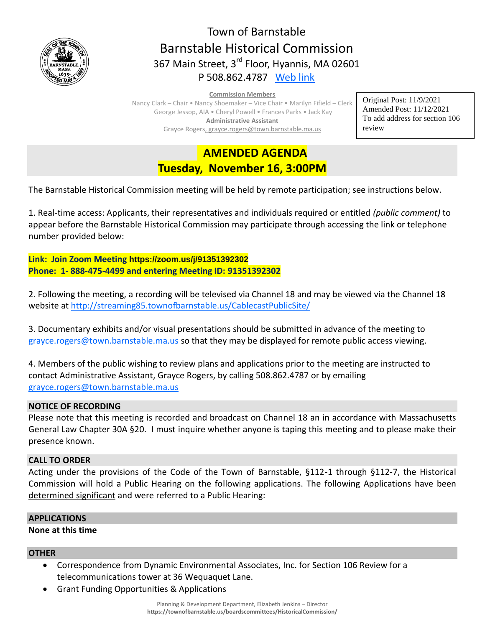

# Town of Barnstable Barnstable Historical Commission 367 Main Street, 3<sup>rd</sup> Floor, Hyannis, MA 02601 P 508.862.4787 [Web link](https://tobweb.town.barnstable.ma.us/boardscommittees/HistoricalCommission/default.asp?brd=Historical+Commission&year=2021)

#### **Commission Members**

Nancy Clark – Chair • Nancy Shoemaker – Vice Chair • Marilyn Fifield – Clerk George Jessop, AIA • Cheryl Powell • Frances Parks • Jack Kay **Administrative Assistant** Grayce Rogers, grayce.rogers@town.barnstable.ma.us

Original Post: 11/9/2021 Amended Post: 11/12/2021 To add address for section 106 review

## **AMENDED AGENDA Tuesday, November 16, 3:00PM**

The Barnstable Historical Commission meeting will be held by remote participation; see instructions below.

1. Real-time access: Applicants, their representatives and individuals required or entitled *(public comment)* to appear before the Barnstable Historical Commission may participate through accessing the link or telephone number provided below:

**Link: Join Zoom Meeting <https://zoom.us/j/91351392302> Phone: 1- 888-475-4499 and entering Meeting ID: 91351392302**

2. Following the meeting, a recording will be televised via Channel 18 and may be viewed via the Channel 18 website at<http://streaming85.townofbarnstable.us/CablecastPublicSite/>

3. Documentary exhibits and/or visual presentations should be submitted in advance of the meeting to [grayce.rogers@town.barnstable.ma.us](mailto:grayce.rogers@town.barnstable.ma.us) so that they may be displayed for remote public access viewing.

4. Members of the public wishing to review plans and applications prior to the meeting are instructed to contact Administrative Assistant, Grayce Rogers, by calling 508.862.4787 or by emailing [grayce.rogers@town.barnstable.ma.us](mailto:grayce.rogers@town.barnstable.ma.us)

## **NOTICE OF RECORDING**

Please note that this meeting is recorded and broadcast on Channel 18 an in accordance with Massachusetts General Law Chapter 30A §20. I must inquire whether anyone is taping this meeting and to please make their presence known.

## **CALL TO ORDER**

Acting under the provisions of the Code of the Town of Barnstable, §112-1 through §112-7, the Historical Commission will hold a Public Hearing on the following applications. The following Applications have been determined significant and were referred to a Public Hearing:

## **APPLICATIONS**

## **None at this time**

## **OTHER**

- Correspondence from Dynamic Environmental Associates, Inc. for Section 106 Review for a telecommunications tower at 36 Wequaquet Lane.
- Grant Funding Opportunities & Applications